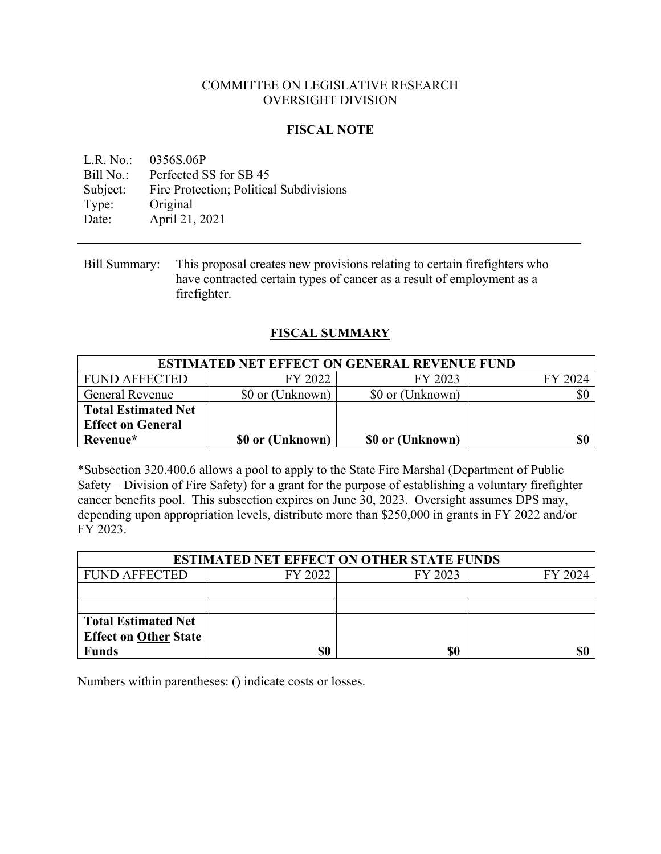## COMMITTEE ON LEGISLATIVE RESEARCH OVERSIGHT DIVISION

## **FISCAL NOTE**

L.R. No.: 0356S.06P Bill No.: Perfected SS for SB 45 Subject: Fire Protection; Political Subdivisions Type: Original Date: April 21, 2021

## **FISCAL SUMMARY**

| <b>ESTIMATED NET EFFECT ON GENERAL REVENUE FUND</b> |                  |                  |         |  |
|-----------------------------------------------------|------------------|------------------|---------|--|
| <b>FUND AFFECTED</b>                                | FY 2022          | FY 2023          | FY 2024 |  |
| <b>General Revenue</b>                              | \$0 or (Unknown) | \$0 or (Unknown) | \$0     |  |
| <b>Total Estimated Net</b>                          |                  |                  |         |  |
| <b>Effect on General</b>                            |                  |                  |         |  |
| Revenue*                                            | \$0 or (Unknown) | \$0 or (Unknown) | \$0     |  |

\*Subsection 320.400.6 allows a pool to apply to the State Fire Marshal (Department of Public Safety – Division of Fire Safety) for a grant for the purpose of establishing a voluntary firefighter cancer benefits pool. This subsection expires on June 30, 2023. Oversight assumes DPS may, depending upon appropriation levels, distribute more than \$250,000 in grants in FY 2022 and/or FY 2023.

| <b>ESTIMATED NET EFFECT ON OTHER STATE FUNDS</b> |         |         |         |  |
|--------------------------------------------------|---------|---------|---------|--|
| <b>FUND AFFECTED</b>                             | FY 2022 | FY 2023 | FY 2024 |  |
|                                                  |         |         |         |  |
|                                                  |         |         |         |  |
| <b>Total Estimated Net</b>                       |         |         |         |  |
| <b>Effect on Other State</b>                     |         |         |         |  |
| <b>Funds</b>                                     | \$0     | \$0     |         |  |

Numbers within parentheses: () indicate costs or losses.

Bill Summary: This proposal creates new provisions relating to certain firefighters who have contracted certain types of cancer as a result of employment as a firefighter.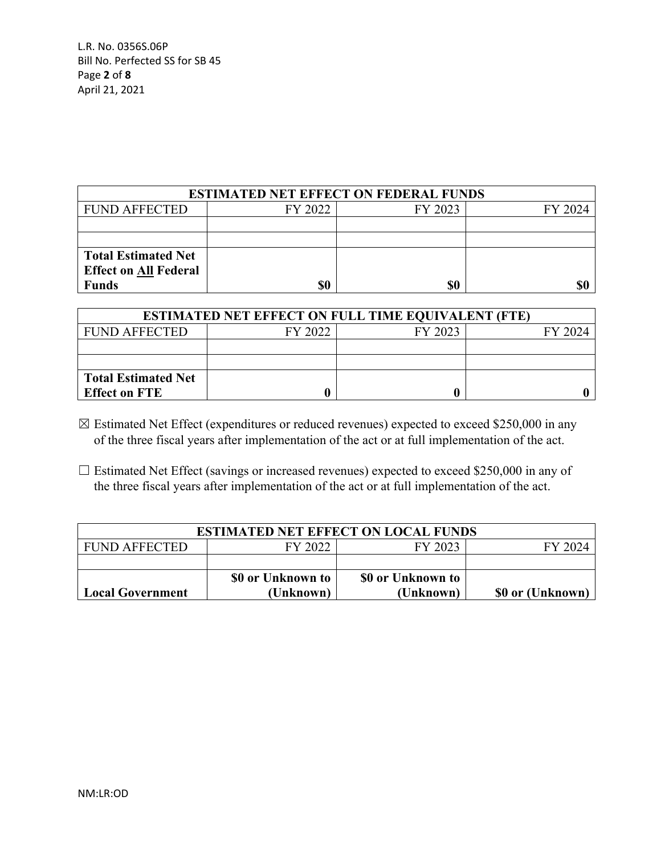| <b>ESTIMATED NET EFFECT ON FEDERAL FUNDS</b> |         |         |         |  |
|----------------------------------------------|---------|---------|---------|--|
| <b>FUND AFFECTED</b>                         | FY 2022 | FY 2023 | FY 2024 |  |
|                                              |         |         |         |  |
|                                              |         |         |         |  |
| <b>Total Estimated Net</b>                   |         |         |         |  |
| <b>Effect on All Federal</b>                 |         |         |         |  |
| <b>Funds</b>                                 | \$0     | \$0     | \$0     |  |

| <b>ESTIMATED NET EFFECT ON FULL TIME EQUIVALENT (FTE)</b> |         |         |         |  |
|-----------------------------------------------------------|---------|---------|---------|--|
| <b>FUND AFFECTED</b>                                      | FY 2022 | FY 2023 | FY 2024 |  |
|                                                           |         |         |         |  |
|                                                           |         |         |         |  |
| <b>Total Estimated Net</b>                                |         |         |         |  |
| <b>Effect on FTE</b>                                      |         |         |         |  |

☒ Estimated Net Effect (expenditures or reduced revenues) expected to exceed \$250,000 in any of the three fiscal years after implementation of the act or at full implementation of the act.

□ Estimated Net Effect (savings or increased revenues) expected to exceed \$250,000 in any of the three fiscal years after implementation of the act or at full implementation of the act.

| <b>ESTIMATED NET EFFECT ON LOCAL FUNDS</b> |                   |                   |                  |
|--------------------------------------------|-------------------|-------------------|------------------|
| <b>FUND AFFECTED</b>                       | FY 2022           | FY 2023           | FY 2024          |
|                                            |                   |                   |                  |
|                                            | \$0 or Unknown to | \$0 or Unknown to |                  |
| <b>Local Government</b>                    | (Unknown)         | (Unknown)         | \$0 or (Unknown) |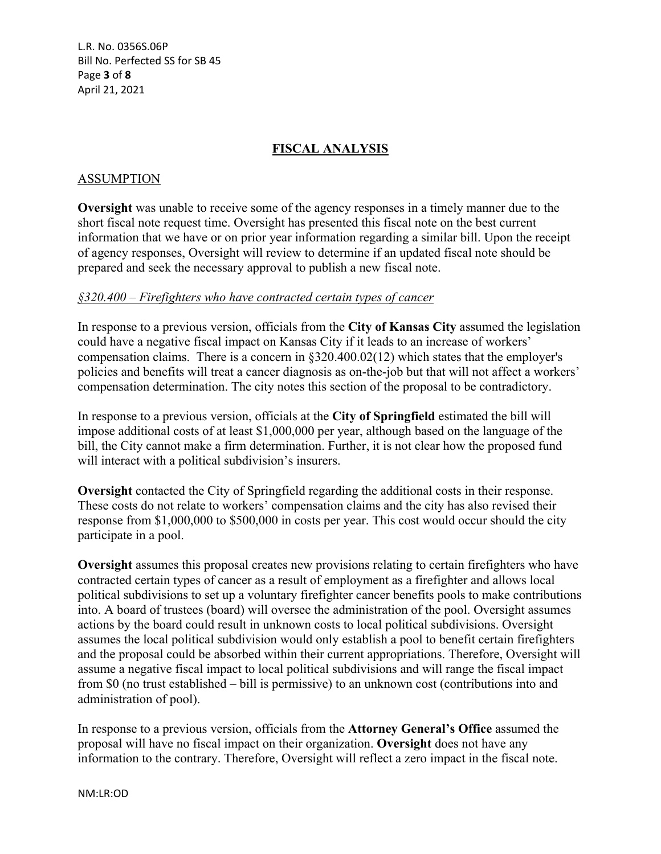L.R. No. 0356S.06P Bill No. Perfected SS for SB 45 Page **3** of **8** April 21, 2021

## **FISCAL ANALYSIS**

#### ASSUMPTION

**Oversight** was unable to receive some of the agency responses in a timely manner due to the short fiscal note request time. Oversight has presented this fiscal note on the best current information that we have or on prior year information regarding a similar bill. Upon the receipt of agency responses, Oversight will review to determine if an updated fiscal note should be prepared and seek the necessary approval to publish a new fiscal note.

#### *§320.400 – Firefighters who have contracted certain types of cancer*

In response to a previous version, officials from the **City of Kansas City** assumed the legislation could have a negative fiscal impact on Kansas City if it leads to an increase of workers' compensation claims. There is a concern in §320.400.02(12) which states that the employer's policies and benefits will treat a cancer diagnosis as on-the-job but that will not affect a workers' compensation determination. The city notes this section of the proposal to be contradictory.

In response to a previous version, officials at the **City of Springfield** estimated the bill will impose additional costs of at least \$1,000,000 per year, although based on the language of the bill, the City cannot make a firm determination. Further, it is not clear how the proposed fund will interact with a political subdivision's insurers.

**Oversight** contacted the City of Springfield regarding the additional costs in their response. These costs do not relate to workers' compensation claims and the city has also revised their response from \$1,000,000 to \$500,000 in costs per year. This cost would occur should the city participate in a pool.

**Oversight** assumes this proposal creates new provisions relating to certain firefighters who have contracted certain types of cancer as a result of employment as a firefighter and allows local political subdivisions to set up a voluntary firefighter cancer benefits pools to make contributions into. A board of trustees (board) will oversee the administration of the pool. Oversight assumes actions by the board could result in unknown costs to local political subdivisions. Oversight assumes the local political subdivision would only establish a pool to benefit certain firefighters and the proposal could be absorbed within their current appropriations. Therefore, Oversight will assume a negative fiscal impact to local political subdivisions and will range the fiscal impact from \$0 (no trust established – bill is permissive) to an unknown cost (contributions into and administration of pool).

In response to a previous version, officials from the **Attorney General's Office** assumed the proposal will have no fiscal impact on their organization. **Oversight** does not have any information to the contrary. Therefore, Oversight will reflect a zero impact in the fiscal note.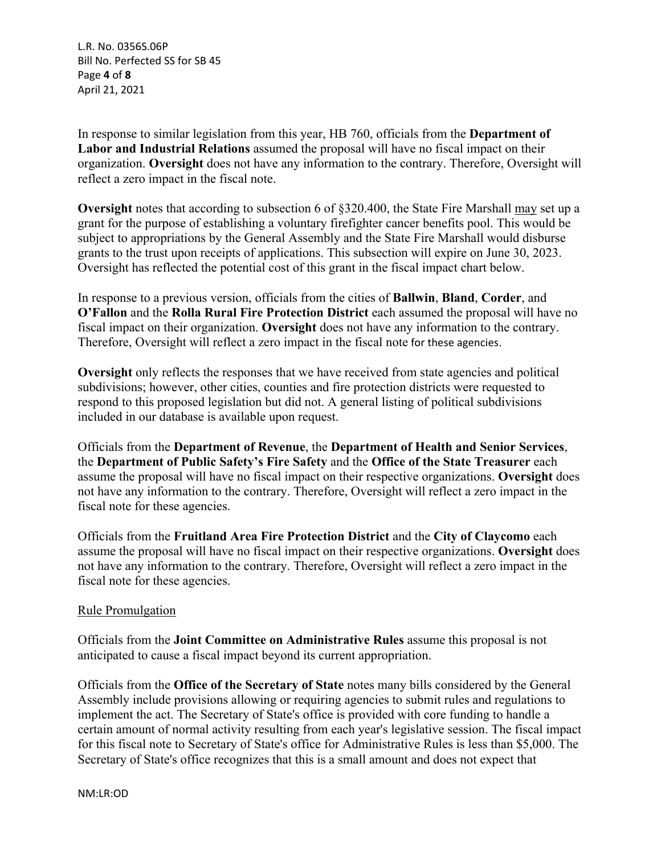L.R. No. 0356S.06P Bill No. Perfected SS for SB 45 Page **4** of **8** April 21, 2021

In response to similar legislation from this year, HB 760, officials from the **Department of Labor and Industrial Relations** assumed the proposal will have no fiscal impact on their organization. **Oversight** does not have any information to the contrary. Therefore, Oversight will reflect a zero impact in the fiscal note.

**Oversight** notes that according to subsection 6 of §320.400, the State Fire Marshall may set up a grant for the purpose of establishing a voluntary firefighter cancer benefits pool. This would be subject to appropriations by the General Assembly and the State Fire Marshall would disburse grants to the trust upon receipts of applications. This subsection will expire on June 30, 2023. Oversight has reflected the potential cost of this grant in the fiscal impact chart below.

In response to a previous version, officials from the cities of **Ballwin**, **Bland**, **Corder**, and **O'Fallon** and the **Rolla Rural Fire Protection District** each assumed the proposal will have no fiscal impact on their organization. **Oversight** does not have any information to the contrary. Therefore, Oversight will reflect a zero impact in the fiscal note for these agencies.

**Oversight** only reflects the responses that we have received from state agencies and political subdivisions; however, other cities, counties and fire protection districts were requested to respond to this proposed legislation but did not. A general listing of political subdivisions included in our database is available upon request.

Officials from the **Department of Revenue**, the **Department of Health and Senior Services**, the **Department of Public Safety's Fire Safety** and the **Office of the State Treasurer** each assume the proposal will have no fiscal impact on their respective organizations. **Oversight** does not have any information to the contrary. Therefore, Oversight will reflect a zero impact in the fiscal note for these agencies.

Officials from the **Fruitland Area Fire Protection District** and the **City of Claycomo** each assume the proposal will have no fiscal impact on their respective organizations. **Oversight** does not have any information to the contrary. Therefore, Oversight will reflect a zero impact in the fiscal note for these agencies.

### Rule Promulgation

Officials from the **Joint Committee on Administrative Rules** assume this proposal is not anticipated to cause a fiscal impact beyond its current appropriation.

Officials from the **Office of the Secretary of State** notes many bills considered by the General Assembly include provisions allowing or requiring agencies to submit rules and regulations to implement the act. The Secretary of State's office is provided with core funding to handle a certain amount of normal activity resulting from each year's legislative session. The fiscal impact for this fiscal note to Secretary of State's office for Administrative Rules is less than \$5,000. The Secretary of State's office recognizes that this is a small amount and does not expect that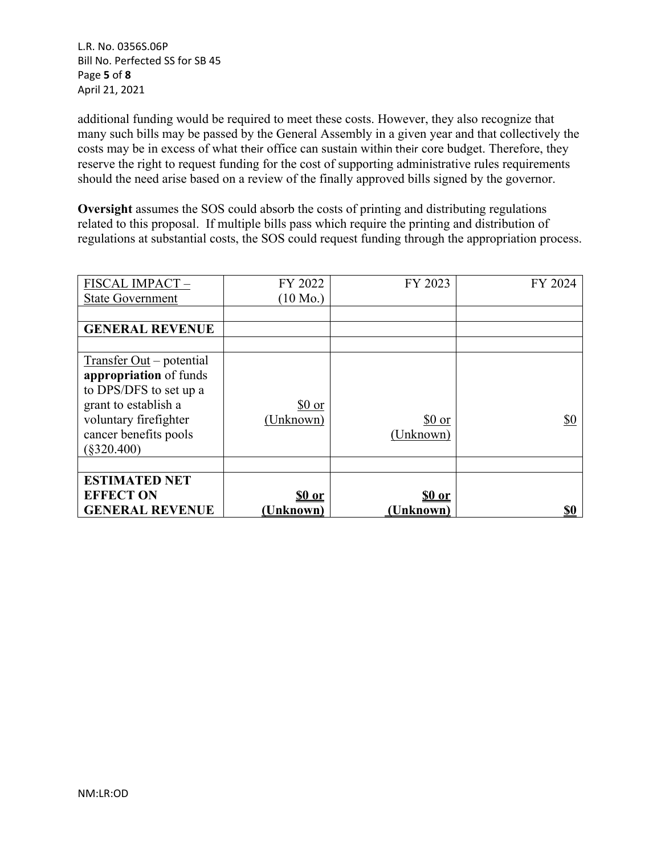L.R. No. 0356S.06P Bill No. Perfected SS for SB 45 Page **5** of **8** April 21, 2021

additional funding would be required to meet these costs. However, they also recognize that many such bills may be passed by the General Assembly in a given year and that collectively the costs may be in excess of what their office can sustain within their core budget. Therefore, they reserve the right to request funding for the cost of supporting administrative rules requirements should the need arise based on a review of the finally approved bills signed by the governor.

**Oversight** assumes the SOS could absorb the costs of printing and distributing regulations related to this proposal. If multiple bills pass which require the printing and distribution of regulations at substantial costs, the SOS could request funding through the appropriation process.

| FISCAL IMPACT-             | FY 2022            | FY 2023      | FY 2024    |
|----------------------------|--------------------|--------------|------------|
| <b>State Government</b>    | $(10 \text{ Mo.})$ |              |            |
|                            |                    |              |            |
| <b>GENERAL REVENUE</b>     |                    |              |            |
|                            |                    |              |            |
| $Transfer Out - potential$ |                    |              |            |
| appropriation of funds     |                    |              |            |
| to DPS/DFS to set up a     |                    |              |            |
| grant to establish a       | \$0 or             |              |            |
| voluntary firefighter      | (Unknown)          | \$0 or       | \$0        |
| cancer benefits pools      |                    | (Unknown)    |            |
| $(\$320.400)$              |                    |              |            |
|                            |                    |              |            |
| <b>ESTIMATED NET</b>       |                    |              |            |
| <b>EFFECT ON</b>           | \$0 or             | <u>SO or</u> |            |
| <b>GENERAL REVENUE</b>     | <u>(Unknown)</u>   | (Unknown)    | <u>\$0</u> |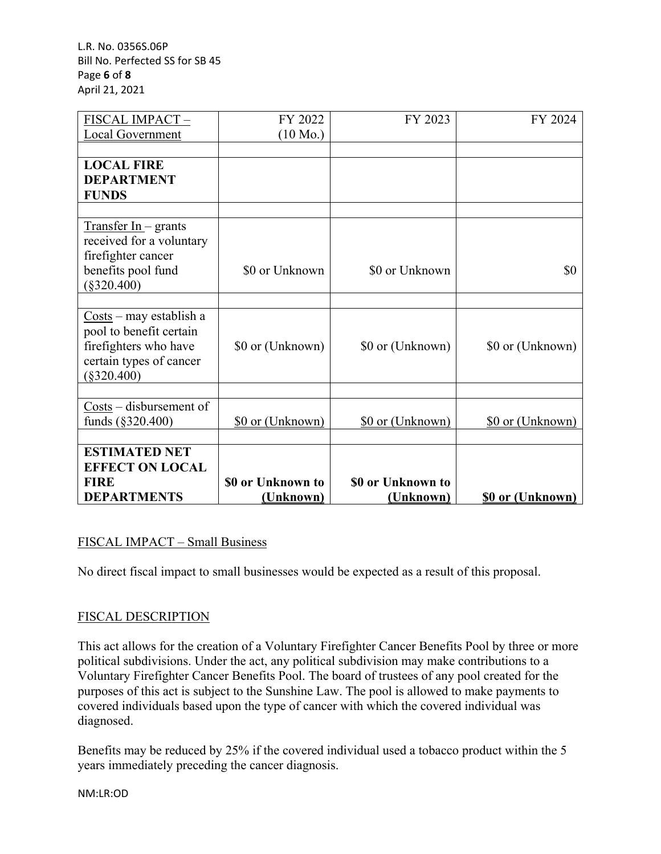L.R. No. 0356S.06P Bill No. Perfected SS for SB 45 Page **6** of **8** April 21, 2021

| FISCAL IMPACT-                                      | FY 2022            | FY 2023           | FY 2024                 |
|-----------------------------------------------------|--------------------|-------------------|-------------------------|
| Local Government                                    | $(10 \text{ Mo.})$ |                   |                         |
|                                                     |                    |                   |                         |
| <b>LOCAL FIRE</b>                                   |                    |                   |                         |
| <b>DEPARTMENT</b>                                   |                    |                   |                         |
| <b>FUNDS</b>                                        |                    |                   |                         |
|                                                     |                    |                   |                         |
| $Transfer In- grants$                               |                    |                   |                         |
| received for a voluntary                            |                    |                   |                         |
| firefighter cancer                                  |                    |                   |                         |
| benefits pool fund                                  | \$0 or Unknown     | \$0 or Unknown    | \$0                     |
| $(\$320.400)$                                       |                    |                   |                         |
|                                                     |                    |                   |                         |
| $\frac{\text{Costs}}{\text{max}}$ – may establish a |                    |                   |                         |
| pool to benefit certain                             |                    |                   |                         |
| firefighters who have                               | \$0 or (Unknown)   | \$0 or (Unknown)  | \$0 or (Unknown)        |
| certain types of cancer                             |                    |                   |                         |
| $(\$320.400)$                                       |                    |                   |                         |
|                                                     |                    |                   |                         |
| $\frac{Costs}{ } -$ disbursement of                 |                    |                   |                         |
| funds $(\S 320.400)$                                | \$0 or (Unknown)   | \$0 or (Unknown)  | \$0 or (Unknown)        |
|                                                     |                    |                   |                         |
| <b>ESTIMATED NET</b>                                |                    |                   |                         |
| <b>EFFECT ON LOCAL</b>                              |                    |                   |                         |
| <b>FIRE</b>                                         | \$0 or Unknown to  | \$0 or Unknown to |                         |
| <b>DEPARTMENTS</b>                                  | (Unknown)          | (Unknown)         | <b>\$0 or (Unknown)</b> |

# FISCAL IMPACT – Small Business

No direct fiscal impact to small businesses would be expected as a result of this proposal.

# FISCAL DESCRIPTION

This act allows for the creation of a Voluntary Firefighter Cancer Benefits Pool by three or more political subdivisions. Under the act, any political subdivision may make contributions to a Voluntary Firefighter Cancer Benefits Pool. The board of trustees of any pool created for the purposes of this act is subject to the Sunshine Law. The pool is allowed to make payments to covered individuals based upon the type of cancer with which the covered individual was diagnosed.

Benefits may be reduced by 25% if the covered individual used a tobacco product within the 5 years immediately preceding the cancer diagnosis.

NM:LR:OD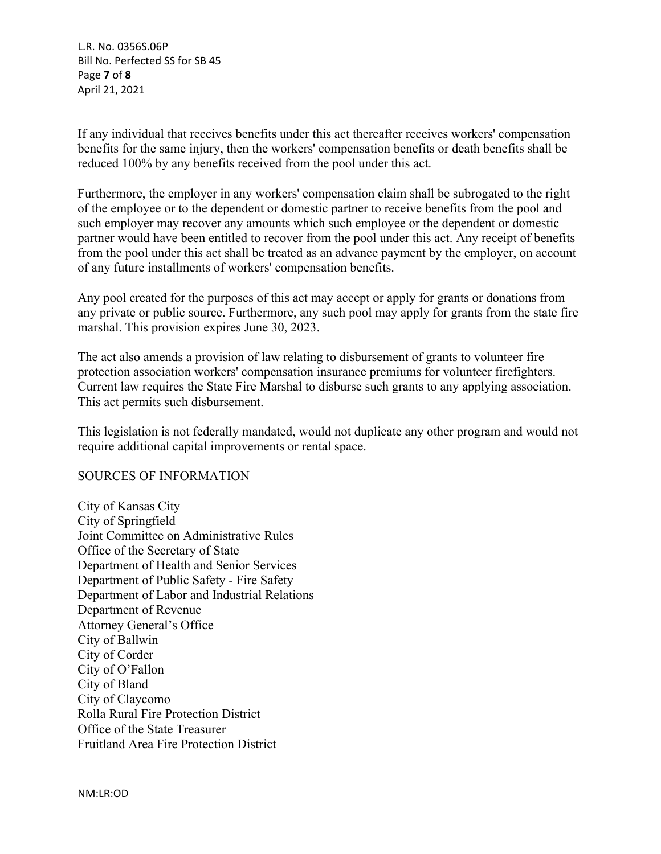L.R. No. 0356S.06P Bill No. Perfected SS for SB 45 Page **7** of **8** April 21, 2021

If any individual that receives benefits under this act thereafter receives workers' compensation benefits for the same injury, then the workers' compensation benefits or death benefits shall be reduced 100% by any benefits received from the pool under this act.

Furthermore, the employer in any workers' compensation claim shall be subrogated to the right of the employee or to the dependent or domestic partner to receive benefits from the pool and such employer may recover any amounts which such employee or the dependent or domestic partner would have been entitled to recover from the pool under this act. Any receipt of benefits from the pool under this act shall be treated as an advance payment by the employer, on account of any future installments of workers' compensation benefits.

Any pool created for the purposes of this act may accept or apply for grants or donations from any private or public source. Furthermore, any such pool may apply for grants from the state fire marshal. This provision expires June 30, 2023.

The act also amends a provision of law relating to disbursement of grants to volunteer fire protection association workers' compensation insurance premiums for volunteer firefighters. Current law requires the State Fire Marshal to disburse such grants to any applying association. This act permits such disbursement.

This legislation is not federally mandated, would not duplicate any other program and would not require additional capital improvements or rental space.

### SOURCES OF INFORMATION

City of Kansas City City of Springfield Joint Committee on Administrative Rules Office of the Secretary of State Department of Health and Senior Services Department of Public Safety - Fire Safety Department of Labor and Industrial Relations Department of Revenue Attorney General's Office City of Ballwin City of Corder City of O'Fallon City of Bland City of Claycomo Rolla Rural Fire Protection District Office of the State Treasurer Fruitland Area Fire Protection District